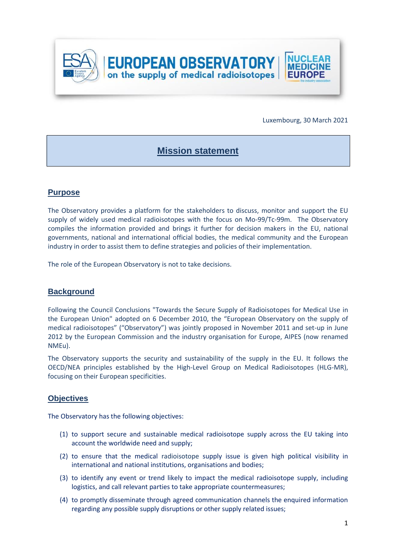

Luxembourg, 30 March 2021

# **Mission statement**

## **Purpose**

The Observatory provides a platform for the stakeholders to discuss, monitor and support the EU supply of widely used medical radioisotopes with the focus on Mo-99/Tc-99m. The Observatory compiles the information provided and brings it further for decision makers in the EU, national governments, national and international official bodies, the medical community and the European industry in order to assist them to define strategies and policies of their implementation.

The role of the European Observatory is not to take decisions.

## **Background**

Following the Council Conclusions "Towards the Secure Supply of Radioisotopes for Medical Use in the European Union" adopted on 6 December 2010, the "European Observatory on the supply of medical radioisotopes" ("Observatory") was jointly proposed in November 2011 and set-up in June 2012 by the European Commission and the industry organisation for Europe, AIPES (now renamed NMEu).

The Observatory supports the security and sustainability of the supply in the EU. It follows the OECD/NEA principles established by the High-Level Group on Medical Radioisotopes (HLG-MR), focusing on their European specificities.

#### **Objectives**

The Observatory has the following objectives:

- (1) to support secure and sustainable medical radioisotope supply across the EU taking into account the worldwide need and supply;
- (2) to ensure that the medical radioisotope supply issue is given high political visibility in international and national institutions, organisations and bodies;
- (3) to identify any event or trend likely to impact the medical radioisotope supply, including logistics, and call relevant parties to take appropriate countermeasures;
- (4) to promptly disseminate through agreed communication channels the enquired information regarding any possible supply disruptions or other supply related issues;